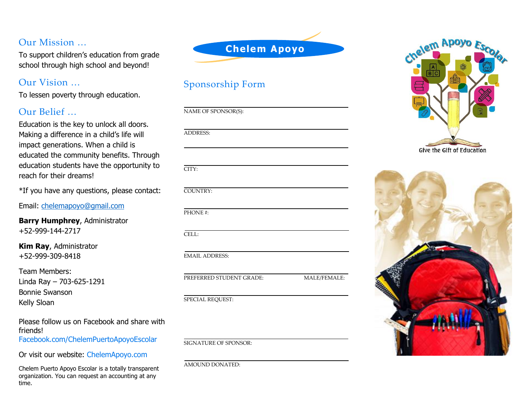### Our Mission …

To support children's education from grade school through high school and beyond!

# Our Vision …

To lessen poverty through education.

# Our Belief …

Education is the key to unlock all doors. Making a difference in a child's life will impact generations. When a child is educated the community benefits. Through education students have the opportunity to reach for their dreams!

\*If you have any questions, please contact:

Email: [chelemapoyo@gmail.com](mailto:chelemapoyo@gmail.com)

**Barry Humphrey**, Administrator +52-999-144-2717

**Kim Ray**, Administrator +52-999-309-8418

Team Members: Linda Ray – 703-625-1291 Bonnie Swanson Kelly Sloan

Please follow us on Facebook and share with friends! Facebook.com/ChelemPuertoApoyoEscolar

Or visit our website: ChelemApoyo.com

Chelem Puerto Apoyo Escolar is a totally transparent organization. You can request an accounting at any time.

**Chelem Apoyo**

# Sponsorship Form

| NAME OF SPONSOR(S): |  |  |
|---------------------|--|--|
|                     |  |  |
| <b>ADDRESS:</b>     |  |  |
|                     |  |  |
|                     |  |  |
| CITY:               |  |  |
|                     |  |  |
| COUNTRY:            |  |  |
|                     |  |  |
| PHONE#:             |  |  |
|                     |  |  |
| $C$ EI I $\cdot$    |  |  |

EMAIL ADDRESS:

PREFERRED STUDENT GRADE: MALE/FEMALE:

SPECIAL REQUEST:

SIGNATURE OF SPONSOR:

AMOUND DONATED: